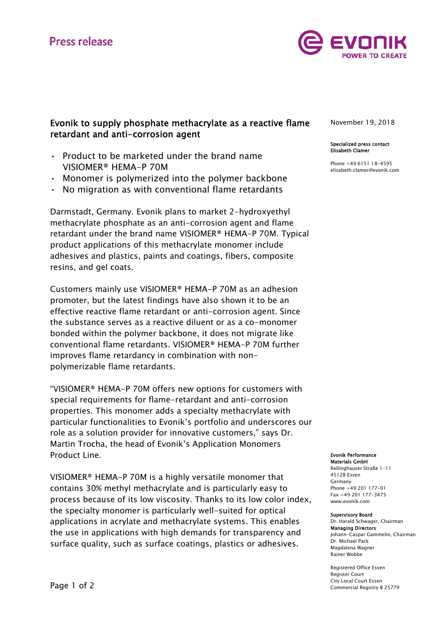

# Evonik to supply phosphate methacrylate as a reactive flame retardant and anti-corrosion agent

- Product to be marketed under the brand name VISIOMER® HEMA-P 70M
- Monomer is polymerized into the polymer backbone
- No migration as with conventional flame retardants

Darmstadt, Germany. Evonik plans to market 2-hydroxyethyl methacrylate phosphate as an anti-corrosion agent and flame retardant under the brand name VISIOMER® HEMA-P 70M. Typical product applications of this methacrylate monomer include adhesives and plastics, paints and coatings, fibers, composite resins, and gel coats.

Customers mainly use VISIOMER® HEMA-P 70M as an adhesion promoter, but the latest findings have also shown it to be an effective reactive flame retardant or anti-corrosion agent. Since the substance serves as a reactive diluent or as a co-monomer bonded within the polymer backbone, it does not migrate like conventional flame retardants. VISIOMER® HEMA-P 70M further improves flame retardancy in combination with nonpolymerizable flame retardants.

"VISIOMER® HEMA-P 70M offers new options for customers with special requirements for flame-retardant and anti-corrosion properties. This monomer adds a specialty methacrylate with particular functionalities to Evonik's portfolio and underscores our role as a solution provider for innovative customers," says Dr. Martin Trocha, the head of Evonik's Application Monomers Product Line.

VISIOMER® HEMA-P 70M is a highly versatile monomer that contains 30% methyl methacrylate and is particularly easy to process because of its low viscosity. Thanks to its low color index, the specialty monomer is particularly well-suited for optical applications in acrylate and methacrylate systems. This enables the use in applications with high demands for transparency and surface quality, such as surface coatings, plastics or adhesives.

November 19, 2018

#### Specialized press contact Elisabeth Clamer

Phone +49 6151 18-4595 elisabeth.clamer@evonik.com

Evonik Performance Materials GmbH

Rellinghauser Straße 1-11 45128 Essen Germany Phone +49 201 177-01 Fax +49 201 177-3475 www.evonik.com

### Supervisory Board

Dr. Harald Schwager, Chairman Managing Directors Johann-Caspar Gammelin, Chairman Dr. Michael Pack Magdalena Wagner Rainer Wobbe

Registered Office Essen Register Court City Local Court Essen Commercial Registry B 25779